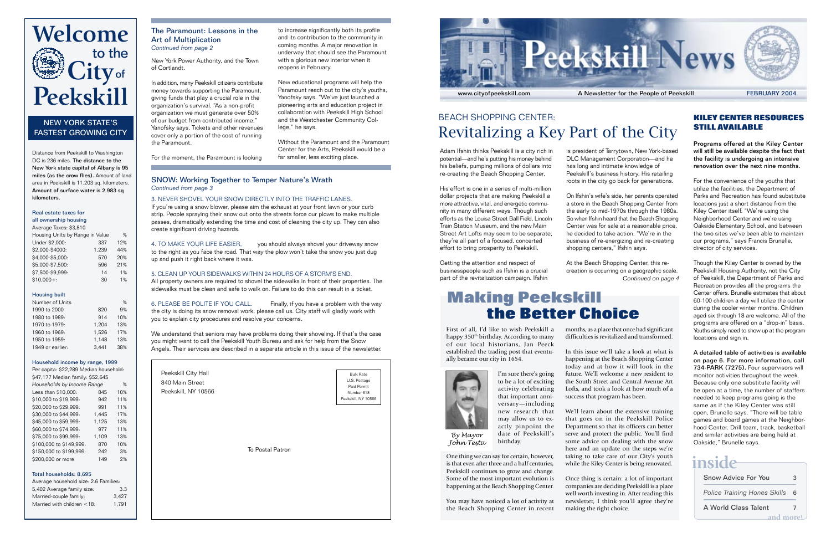

### BEACH SHOPPING CENTER: Revitalizing a Key Part of the City

Adam Ifshin thinks Peekskill is a city rich in potential—and he's putting his money behind his beliefs, pumping millions of dollars into re-creating the Beach Shopping Center.

His effort is one in a series of multi-million dollar projects that are making Peekskill a more attractive, vital, and energetic community in many different ways. Though such efforts as the Louisa Street Ball Field, Lincoln Train Station Museum, and the new Main Street Art Lofts may seem to be separate, they're all part of a focused, concerted effort to bring prosperity to Peekskill.

Getting the attention and respect of businesspeople such as Ifshin is a crucial part of the revitalization campaign. Ifshin

is president of Tarrytown, New York-based DLC Management Corporation—and he has long and intimate knowledge of Peekskill's business history. His retailing roots in the city go back for generations.

On Ifshin's wife's side, her parents operated a store in the Beach Shopping Center from the early to mid-1970s through the 1980s. So when Ifshin heard that the Beach Shopping Center was for sale at a reasonable price, he decided to take action. "We're in the business of re-energizing and re-creating shopping centers," Ifshin says.

At the Beach Shopping Center, this recreation is occurring on a geographic scale. *Continued on page 4*

## **Making Peekskill the Better Choice**

First of all, I'd like to wish Peekskill a happy 350<sup>th</sup> birthday. According to many of our local historians, Jan Peeck established the trading post that eventually became our city in 1654.



*By Mayor John Testa*

I'm sure there's going to be a lot of exciting activity celebrating that important anniversary—including new research that may allow us to exactly pinpoint the date of Peekskill's birthday.

One thing we can say for certain, however, is that even after three and a half centuries, Peekskill continues to grow and change. Some of the most important evolution is happening at the Beach Shopping Center.

You may have noticed a lot of activity at the Beach Shopping Center in recent months, as a place that once had significant difficulties is revitalized and transformed.

In this issue we'll take a look at what is happening at the Beach Shopping Center today and at how it will look in the future. We'll welcome a new resident to the South Street and Central Avenue Art Lofts, and took a look at how much of a success that program has been.

We'll learn about the extensive training that goes on in the Peekskill Police Department so that its officers can better serve and protect the public. You'll find some advice on dealing with the snow here and an update on the steps we're taking to take care of our City's youth while the Kiley Center is being renovated.

Once thing is certain: a lot of important companies are deciding Peekskill is a place well worth investing in. After reading this newsletter, I think you'll agree they're making the right choice.

#### **KILEY CENTER RESOURCES STILL AVAILABLE**

Programs offered at the Kiley Center will still be available despite the fact that the facility is undergoing an intensive renovation over the next nine months.

For the convenience of the youths that utilize the facilities, the Department of Parks and Recreation has found substitute locations just a short distance from the Kiley Center itself. "We're using the Neighborhood Center and we're using Oakside Elementary School, and between the two sites we've been able to maintain our programs," says Francis Brunelle, director of city services.

Though the Kiley Center is owned by the Peekskill Housing Authority, not the City of Peekskill, the Department of Parks and Recreation provides all the programs the Center offers. Brunelle estimates that about 60-100 children a day will utilize the center during the cooler winter months. Children aged six through 18 are welcome. All of the programs are offered on a "drop-in" basis. Youths simply need to show up at the program locations and sign in.

A detailed table of activities is available on page 6. For more information, call 734-PARK (7275). Four supervisors will monitor activities throughout the week. Because only one substitute facility will be open at a time, the number of staffers needed to keep programs going is the same as if the Kiley Center was still open, Brunelle says. "There will be table games and board games at the Neighborhood Center. Drill team, track, basketball and similar activities are being held at Oakside," Brunelle says.

## **inside**

| <b>Snow Advice For You</b>          | з |
|-------------------------------------|---|
| <b>Police Training Hones Skills</b> | 6 |
| A World Class Talent                | 7 |
| and more!                           |   |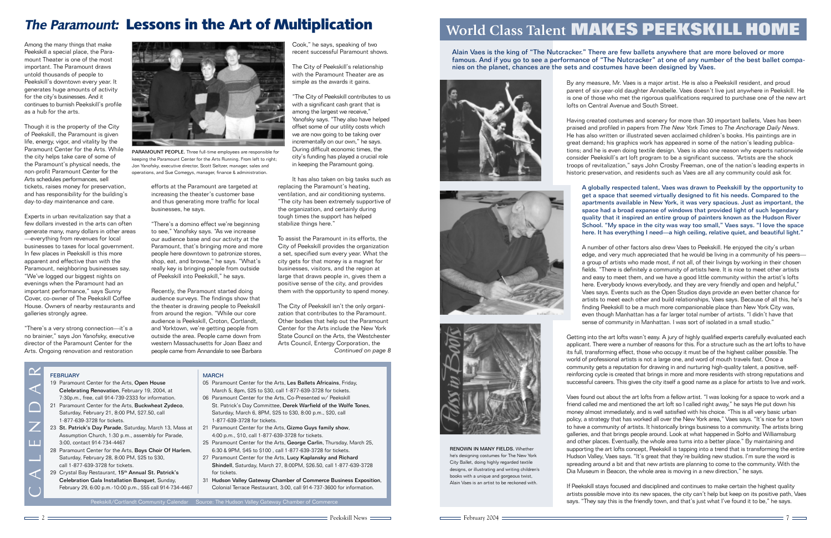## **World Class Talent MAKES PEEKSKILL HOME**

Alain Vaes is the king of "The Nutcracker." There are few ballets anywhere that are more beloved or more famous. And if you go to see a performance of "The Nutcracker" at one of any number of the best ballet companies on the planet, chances are the sets and costumes have been designed by Vaes.





Having created costumes and scenery for more than 30 important ballets, Vaes has been praised and profiled in papers from *The New York Times* to *The Anchorage Daily News*. He has also written or illustrated seven acclaimed children's books. His paintings are in great demand; his graphics work has appeared in some of the nation's leading publications; and he is even doing textile design. Vaes is also one reason why experts nationwide consider Peekskill's art loft program to be a significant success. "Artists are the shock troops of revitalization," says John Crosby Freeman, one of the nation's leading experts in historic preservation, and residents such as Vaes are all any community could ask for.



RENOWN IN MANY FIELDS. Whether he's designing costumes for The New York City Ballet, doing highly regarded textile designs, or illustrating and writing children's books with a unique and gorgeous twist, Alain Vaes is an artist to be reckoned with.

A globally respected talent, Vaes was drawn to Peekskill by the opportunity to get a space that seemed virtually designed to fit his needs. Compared to the apartments available in New York, it was very spacious. Just as important, the space had a broad expanse of windows that provided light of such legendary quality that it inspired an entire group of painters known as the Hudson River School. "My space in the city was way too small," Vaes says. "I love the space here. It has everything I need—a high ceiling, relative quiet, and beautiful light."

A number of other factors also drew Vaes to Peekskill. He enjoyed the city's urban edge, and very much appreciated that he would be living in a community of his peers a group of artists who made most, if not all, of their livings by working in their chosen fields. "There is definitely a community of artists here. It is nice to meet other artists and easy to meet them, and we have a good little community within the artist's lofts here. Everybody knows everybody, and they are very friendly and open and helpful," Vaes says. Events such as the Open Studios days provide an even better chance for artists to meet each other and build relationships, Vaes says. Because of all this, he's finding Peekskill to be a much more companionable place than New York City was, even though Manhattan has a far larger total number of artists. "I didn't have that sense of community in Manhattan. I was sort of isolated in a small studio."

Getting into the art lofts wasn't easy. A jury of highly qualified experts carefully evaluated each applicant. There were a number of reasons for this. For a structure such as the art lofts to have its full, transforming effect, those who occupy it must be of the highest caliber possible. The world of professional artists is not a large one, and word of mouth travels fast. Once a community gets a reputation for drawing in and nurturing high-quality talent, a positive, selfreinforcing cycle is created that brings in more and more residents with strong reputations and successful careers. This gives the city itself a good name as a place for artists to live and work.

Vaes found out about the art lofts from a fellow artist. "I was looking for a space to work and a friend called me and mentioned the art loft so I called right away," he says He put down his money almost immediately, and is well satisfied with his choice. "This is all very basic urban policy, a strategy that has worked all over the New York area," Vaes says. "It's nice for a town to have a community of artists. It historically brings business to a community. The artists bring galleries, and that brings people around. Look at what happened in SoHo and Williamsburg and other places. Eventually, the whole area turns into a better place." By maintaining and supporting the art lofts concept, Peekskill is tapping into a trend that is transforming the entire Hudson Valley, Vaes says. "It's great that they're building new studios. I'm sure the word is spreading around a bit and that new artists are planning to come to the community. With the Dia Museum in Beacon, the whole area is moving in a new direction," he says.

If Peekskill stays focused and disciplined and continues to make certain the highest quality artists possible move into its new spaces, the city can't help but keep on its positive path, Vaes says. "They say this is the friendly town, and that's just what I've found it to be," he says.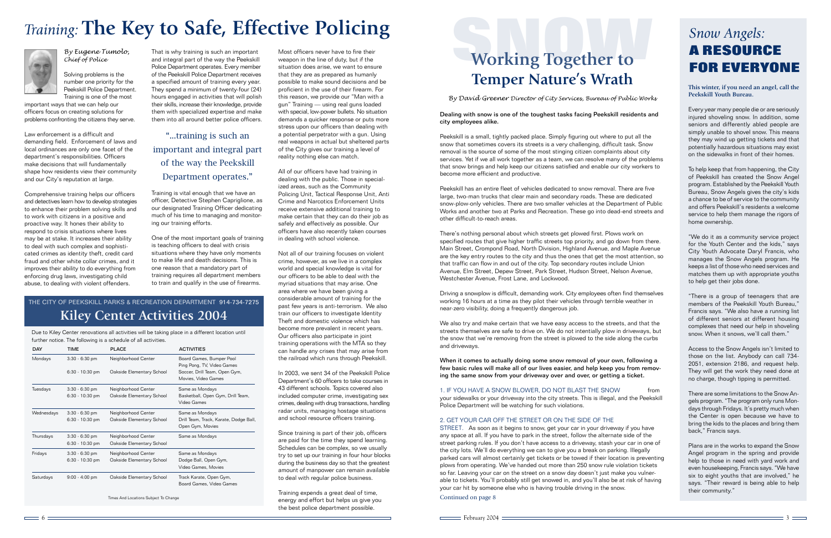# **A RESOURCE**<br> **A RESOURCE**<br> **EQR EVERYONE Temper Nature's Wrath**

*By David Greener Director of City Services, Bureau of Public Works*

#### Dealing with snow is one of the toughest tasks facing Peekskill residents and city employees alike.

Peekskill is a small, tightly packed place. Simply figuring out where to put all the snow that sometimes covers its streets is a very challenging, difficult task. Snow removal is the source of some of the most stinging citizen complaints about city services. Yet if we all work together as a team, we can resolve many of the problems that snow brings and help keep our citizens satisfied and enable our city workers to become more efficient and productive.

Peekskill has an entire fleet of vehicles dedicated to snow removal. There are five large, two-man trucks that clear main and secondary roads. These are dedicated snow-plow-only vehicles. There are two smaller vehicles at the Department of Public Works and another two at Parks and Recreation. These go into dead-end streets and other difficult-to-reach areas.

There's nothing personal about which streets get plowed first. Plows work on specified routes that give higher traffic streets top priority, and go down from there. Main Street, Crompond Road, North Division, Highland Avenue, and Maple Avenue are the key entry routes to the city and thus the ones that get the most attention, so that traffic can flow in and out of the city. Top secondary routes include Union Avenue, Elm Street, Depew Street, Park Street, Hudson Street, Nelson Avenue, Westchester Avenue, Frost Lane, and Lockwood.

Driving a snowplow is difficult, demanding work. City employees often find themselves working 16 hours at a time as they pilot their vehicles through terrible weather in near-zero visibility, doing a frequently dangerous job.

We also try and make certain that we have easy access to the streets, and that the streets themselves are safe to drive on. We do not intentially plow in driveways, but the snow that we're removing from the street is plowed to the side along the curbs and driveways.

When it comes to actually doing some snow removal of your own, following a few basic rules will make all of our lives easier, and help keep you from removing the same snow from your driveway over and over, or getting a ticket.

1. IF YOU HAVE A SNOW BLOWER, DO NOT BLAST THE SNOW from your sidewalks or your driveway into the city streets. This is illegal, and the Peekskill Police Department will be watching for such violations.

#### 2. GET YOUR CAR OFF THE STREET OR ON THE SIDE OF THE

STREET. As soon as it begins to snow, get your car in your driveway if you have any space at all. If you have to park in the street, follow the alternate side of the street parking rules. If you don't have access to a driveway, stash your car in one of the city lots. We'll do everything we can to give you a break on parking. Illegally parked cars will almost certainly get tickets or be towed if their location is preventing plows from operating. We've handed out more than 250 snow rule violation tickets so far. Leaving your car on the street on a snow day doesn't just make you vulnerable to tickets. You'll probably still get snowed in, and you'll also be at risk of having your car hit by someone else who is having trouble driving in the snow.

Continued on page 8

# *Snow Angels:*

**This winter, if you need an angel, call the Peekskill Youth Bureau.**

Every year many people die or are seriously injured shoveling snow. In addition, some seniors and differently abled people are simply unable to shovel snow. This means they may wind up getting tickets and that potentially hazardous situations may exist on the sidewalks in front of their homes.

To help keep that from happening, the City of Peekskill has created the Snow Angel program. Established by the Peekskill Youth Bureau, Snow Angels gives the city's kids a chance to be of service to the community and offers Peekskill's residents a welcome service to help them manage the rigors of home ownership.

"We do it as a community service project for the Youth Center and the kids," says City Youth Advocate Daryl Francis, who manages the Snow Angels program. He keeps a list of those who need services and matches them up with appropriate youths to help get their jobs done.

"There is a group of teenagers that are members of the Peekskill Youth Bureau," Francis says. "We also have a running list of different seniors at different housing complexes that need our help in shoveling snow. When it snows, we'll call them."

Access to the Snow Angels isn't limited to those on the list. Anybody can call 734- 2051, extension 2186, and request help. They will get the work they need done at no charge, though tipping is permitted.

There are some limitations to the Snow Angels program. "The program only runs Mondays through Fridays. It's pretty much when the Center is open because we have to bring the kids to the places and bring them back," Francis says.

Plans are in the works to expand the Snow Angel program in the spring and provide help to those in need with yard work and even housekeeping, Francis says. "We have six to eight youths that are involved," he says. "Their reward is being able to help their community."